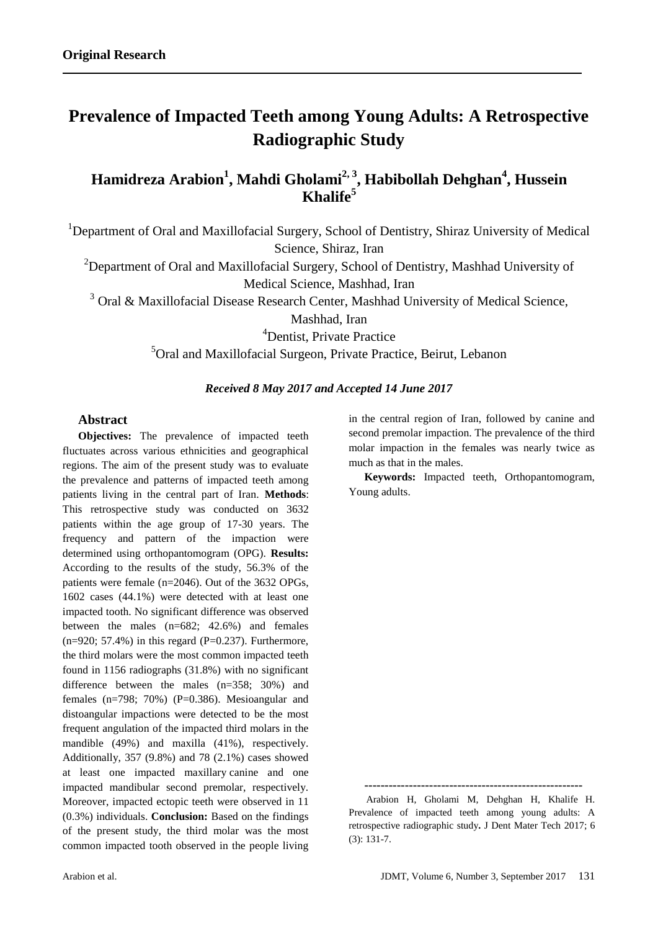# **Prevalence of Impacted Teeth among Young Adults: A Retrospective Radiographic Study**

# **Hamidreza Arabion<sup>1</sup> , Mahdi Gholami2, 3 , Habibollah Dehghan<sup>4</sup> , Hussein Khalife<sup>5</sup>**

<sup>1</sup>Department of Oral and Maxillofacial Surgery, School of Dentistry, Shiraz University of Medical Science, Shiraz, Iran

<sup>2</sup>Department of Oral and Maxillofacial Surgery, School of Dentistry, Mashhad University of Medical Science, Mashhad, Iran

<sup>3</sup> Oral & Maxillofacial Disease Research Center, Mashhad University of Medical Science,

Mashhad, Iran

<sup>4</sup>Dentist, Private Practice

<sup>5</sup>Oral and Maxillofacial Surgeon, Private Practice, Beirut, Lebanon

# *Received 8 May 2017 and Accepted 14 June 2017*

# **Abstract**

**Objectives:** The prevalence of impacted teeth fluctuates across various ethnicities and geographical regions. The aim of the present study was to evaluate the prevalence and patterns of impacted teeth among patients living in the central part of Iran. **Methods**: This retrospective study was conducted on 3632 patients within the age group of 17-30 years. The frequency and pattern of the impaction were determined using orthopantomogram (OPG). **Results:** According to the results of the study, 56.3% of the patients were female (n=2046). Out of the 3632 OPGs, 1602 cases (44.1%) were detected with at least one impacted tooth. No significant difference was observed between the males (n=682; 42.6%) and females  $(n=920; 57.4\%)$  in this regard (P=0.237). Furthermore, the third molars were the most common impacted teeth found in 1156 radiographs (31.8%) with no significant difference between the males (n=358; 30%) and females (n=798; 70%) (P=0.386). Mesioangular and distoangular impactions were detected to be the most frequent angulation of the impacted third molars in the mandible (49%) and maxilla (41%), respectively. Additionally, 357 (9.8%) and 78 (2.1%) cases showed at least one impacted maxillary canine and one impacted mandibular second premolar, respectively. Moreover, impacted ectopic teeth were observed in 11 (0.3%) individuals. **Conclusion:** Based on the findings of the present study, the third molar was the most common impacted tooth observed in the people living

in the central region of Iran, followed by canine and second premolar impaction. The prevalence of the third molar impaction in the females was nearly twice as much as that in the males.

**Keywords:** Impacted teeth, Orthopantomogram, Young adults.

**------------------------------------------------------**

 Arabion H, Gholami M, Dehghan H, Khalife H. Prevalence of impacted teeth among young adults: A retrospective radiographic study**.** J Dent Mater Tech 2017; 6 (3): 131-7.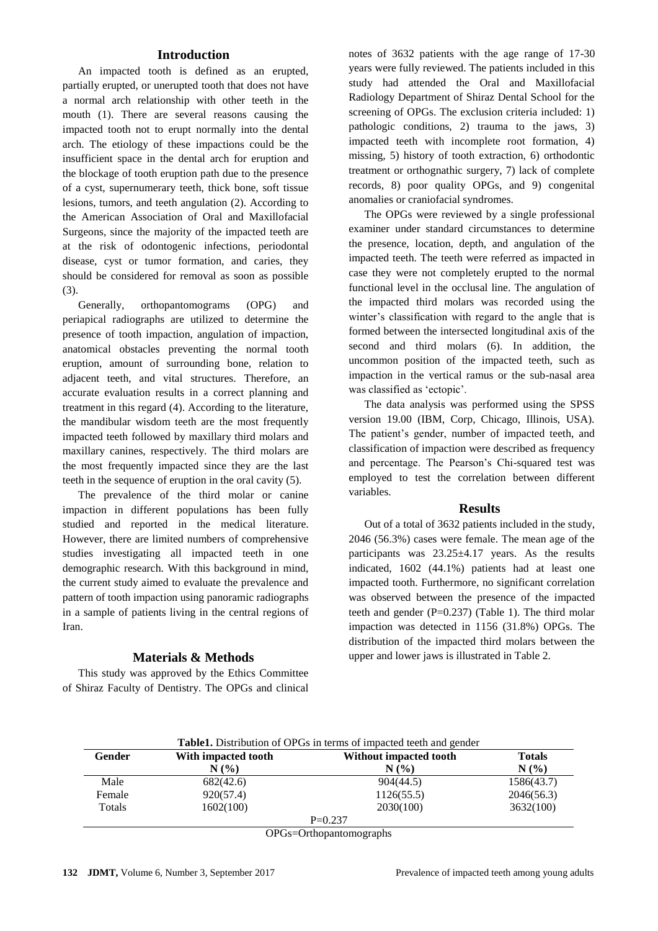# **Introduction**

An impacted tooth is defined as an erupted, partially erupted, or unerupted tooth that does not have a normal arch relationship with other teeth in the mouth (1). There are several reasons causing the impacted tooth not to erupt normally into the dental arch. The etiology of these impactions could be the insufficient space in the dental arch for eruption and the blockage of tooth eruption path due to the presence of a cyst, supernumerary teeth, thick bone, soft tissue lesions, tumors, and teeth angulation (2). According to the American Association of Oral and Maxillofacial Surgeons, since the majority of the impacted teeth are at the risk of odontogenic infections, periodontal disease, cyst or tumor formation, and caries, they should be considered for removal as soon as possible (3).

Generally, orthopantomograms (OPG) and periapical radiographs are utilized to determine the presence of tooth impaction, angulation of impaction, anatomical obstacles preventing the normal tooth eruption, amount of surrounding bone, relation to adjacent teeth, and vital structures. Therefore, an accurate evaluation results in a correct planning and treatment in this regard (4). According to the literature, the mandibular wisdom teeth are the most frequently impacted teeth followed by maxillary third molars and maxillary canines, respectively. The third molars are the most frequently impacted since they are the last teeth in the sequence of eruption in the oral cavity (5).

The prevalence of the third molar or canine impaction in different populations has been fully studied and reported in the medical literature. However, there are limited numbers of comprehensive studies investigating all impacted teeth in one demographic research. With this background in mind, the current study aimed to evaluate the prevalence and pattern of tooth impaction using panoramic radiographs in a sample of patients living in the central regions of Iran.

## **Materials & Methods**

This study was approved by the Ethics Committee of Shiraz Faculty of Dentistry. The OPGs and clinical notes of 3632 patients with the age range of 17-30 years were fully reviewed. The patients included in this study had attended the Oral and Maxillofacial Radiology Department of Shiraz Dental School for the screening of OPGs. The exclusion criteria included: 1) pathologic conditions, 2) trauma to the jaws, 3) impacted teeth with incomplete root formation, 4) missing, 5) history of tooth extraction, 6) orthodontic treatment or orthognathic surgery, 7) lack of complete records, 8) poor quality OPGs, and 9) congenital anomalies or craniofacial syndromes.

The OPGs were reviewed by a single professional examiner under standard circumstances to determine the presence, location, depth, and angulation of the impacted teeth. The teeth were referred as impacted in case they were not completely erupted to the normal functional level in the occlusal line. The angulation of the impacted third molars was recorded using the winter's classification with regard to the angle that is formed between the intersected longitudinal axis of the second and third molars (6). In addition, the uncommon position of the impacted teeth, such as impaction in the vertical ramus or the sub-nasal area was classified as 'ectopic'.

The data analysis was performed using the SPSS version 19.00 (IBM, Corp, Chicago, Illinois, USA). The patient's gender, number of impacted teeth, and classification of impaction were described as frequency and percentage. The Pearson's Chi-squared test was employed to test the correlation between different variables.

#### **Results**

Out of a total of 3632 patients included in the study, 2046 (56.3%) cases were female. The mean age of the participants was  $23.25 \pm 4.17$  years. As the results indicated, 1602 (44.1%) patients had at least one impacted tooth. Furthermore, no significant correlation was observed between the presence of the impacted teeth and gender  $(P=0.237)$  (Table 1). The third molar impaction was detected in 1156 (31.8%) OPGs. The distribution of the impacted third molars between the upper and lower jaws is illustrated in Table 2.

| With impacted tooth | Without impacted tooth | <b>Totals</b> |
|---------------------|------------------------|---------------|
| $N(\%)$             | N(%                    | N(%)          |
| 682(42.6)           | 904(44.5)              | 1586(43.7)    |
| 920(57.4)           | 1126(55.5)             | 2046(56.3)    |
| 1602(100)           | 2030(100)              | 3632(100)     |
|                     |                        |               |

OPGs=Orthopantomographs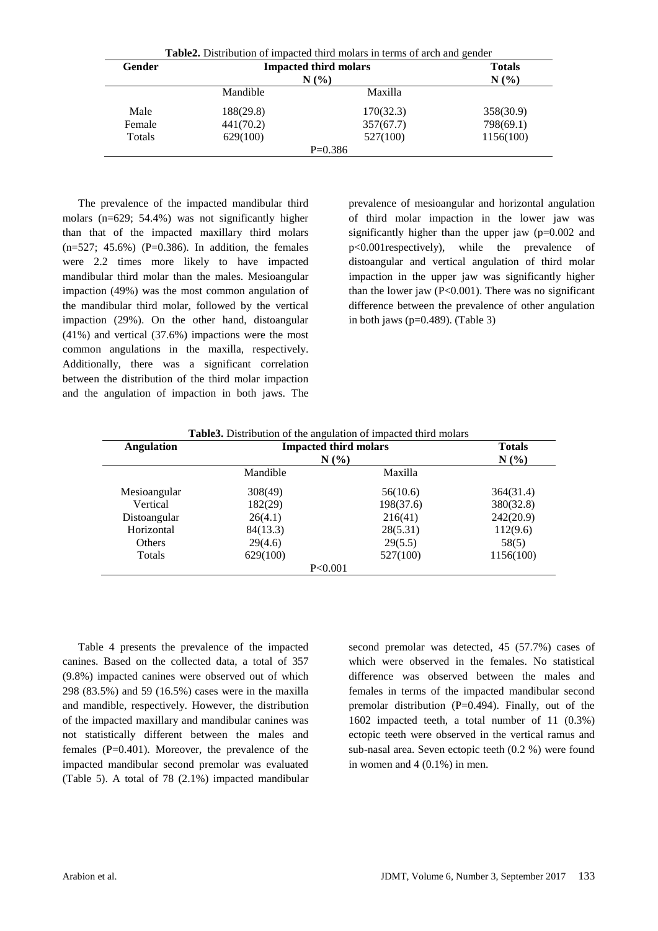| Gender | <b>Impacted third molars</b><br>N(% |           | <b>Totals</b><br>N(%) |
|--------|-------------------------------------|-----------|-----------------------|
|        | Mandible                            | Maxilla   |                       |
| Male   | 188(29.8)                           | 170(32.3) | 358(30.9)             |
| Female | 441(70.2)                           | 357(67.7) | 798(69.1)             |
| Totals | 629(100)                            | 527(100)  | 1156(100)             |

The prevalence of the impacted mandibular third molars (n=629; 54.4%) was not significantly higher than that of the impacted maxillary third molars  $(n=527; 45.6%)$  (P=0.386). In addition, the females were 2.2 times more likely to have impacted mandibular third molar than the males. Mesioangular impaction (49%) was the most common angulation of the mandibular third molar, followed by the vertical impaction (29%). On the other hand, distoangular (41%) and vertical (37.6%) impactions were the most common angulations in the maxilla, respectively. Additionally, there was a significant correlation between the distribution of the third molar impaction and the angulation of impaction in both jaws. The

prevalence of mesioangular and horizontal angulation of third molar impaction in the lower jaw was significantly higher than the upper jaw (p=0.002 and p<0.001respectively), while the prevalence of distoangular and vertical angulation of third molar impaction in the upper jaw was significantly higher than the lower jaw  $(P<0.001)$ . There was no significant difference between the prevalence of other angulation in both jaws (p=0.489). (Table 3)

| <b>Angulation</b> |          | <b>Impacted third molars</b> | <b>Totals</b> |
|-------------------|----------|------------------------------|---------------|
|                   | $N(\%)$  |                              | $N(\%)$       |
|                   | Mandible | Maxilla                      |               |
| Mesioangular      | 308(49)  | 56(10.6)                     | 364(31.4)     |
| Vertical          | 182(29)  | 198(37.6)                    | 380(32.8)     |
| Distoangular      | 26(4.1)  | 216(41)                      | 242(20.9)     |
| Horizontal        | 84(13.3) | 28(5.31)                     | 112(9.6)      |
| Others            | 29(4.6)  | 29(5.5)                      | 58(5)         |
| Totals            | 629(100) | 527(100)                     | 1156(100)     |
|                   | P<0.001  |                              |               |

Table 4 presents the prevalence of the impacted canines. Based on the collected data, a total of 357 (9.8%) impacted canines were observed out of which 298 (83.5%) and 59 (16.5%) cases were in the maxilla and mandible, respectively. However, the distribution of the impacted maxillary and mandibular canines was not statistically different between the males and females (P=0.401). Moreover, the prevalence of the impacted mandibular second premolar was evaluated (Table 5). A total of 78 (2.1%) impacted mandibular

second premolar was detected, 45 (57.7%) cases of which were observed in the females. No statistical difference was observed between the males and females in terms of the impacted mandibular second premolar distribution (P=0.494). Finally, out of the 1602 impacted teeth, a total number of 11 (0.3%) ectopic teeth were observed in the vertical ramus and sub-nasal area. Seven ectopic teeth (0.2 %) were found in women and 4 (0.1%) in men.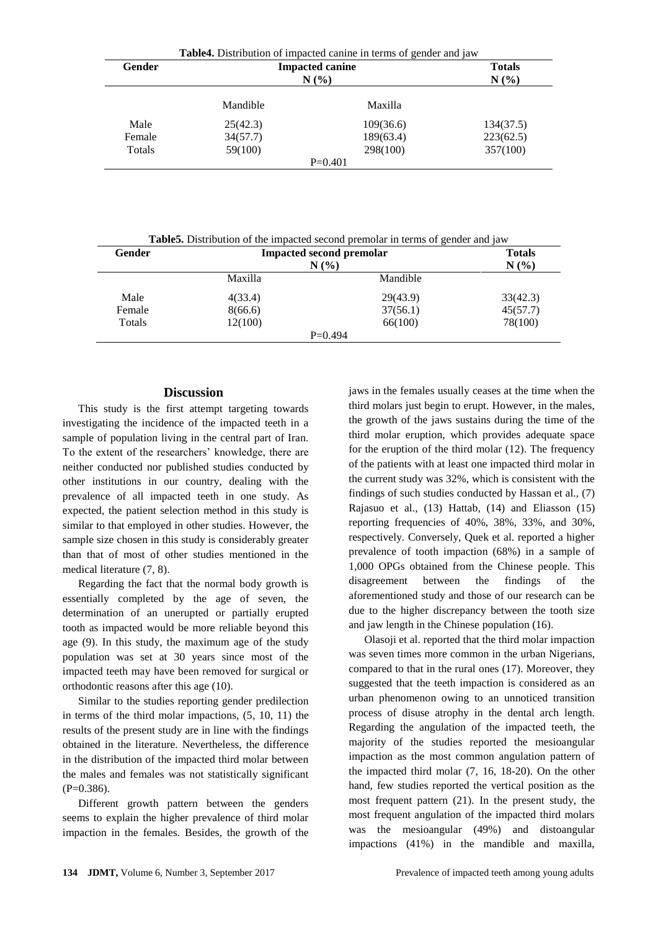|        | <b>Table4.</b> Distribution of impacted canine in terms of gender and jaw |           |                      |  |
|--------|---------------------------------------------------------------------------|-----------|----------------------|--|
| Gender | <b>Impacted canine</b><br>N(%                                             |           | <b>Totals</b><br>N(% |  |
|        |                                                                           |           |                      |  |
|        | Mandible                                                                  | Maxilla   |                      |  |
| Male   | 25(42.3)                                                                  | 109(36.6) | 134(37.5)            |  |
| Female | 34(57.7)                                                                  | 189(63.4) | 223(62.5)            |  |
| Totals | 59(100)                                                                   | 298(100)  | 357(100)             |  |
|        |                                                                           | $P=0.401$ |                      |  |

**Table5.** Distribution of the impacted second premolar in terms of gender and jaw

| Gender | <b>Impacted second premolar</b><br>N(% |           | <b>Totals</b><br>N(%) |
|--------|----------------------------------------|-----------|-----------------------|
|        | Maxilla                                | Mandible  |                       |
| Male   | 4(33.4)                                | 29(43.9)  | 33(42.3)              |
| Female | 8(66.6)                                | 37(56.1)  | 45(57.7)              |
| Totals | 12(100)                                | 66(100)   | 78(100)               |
|        |                                        | $P=0.494$ |                       |

# **Discussion**

This study is the first attempt targeting towards investigating the incidence of the impacted teeth in a sample of population living in the central part of Iran. To the extent of the researchers' knowledge, there are neither conducted nor published studies conducted by other institutions in our country, dealing with the prevalence of all impacted teeth in one study. As expected, the patient selection method in this study is similar to that employed in other studies. However, the sample size chosen in this study is considerably greater than that of most of other studies mentioned in the medical literature (7, 8).

Regarding the fact that the normal body growth is essentially completed by the age of seven, the determination of an unerupted or partially erupted tooth as impacted would be more reliable beyond this age (9). In this study, the maximum age of the study population was set at 30 years since most of the impacted teeth may have been removed for surgical or orthodontic reasons after this age (10).

Similar to the studies reporting gender predilection in terms of the third molar impactions, (5, 10, 11) the results of the present study are in line with the findings obtained in the literature. Nevertheless, the difference in the distribution of the impacted third molar between the males and females was not statistically significant  $(P=0.386)$ .

Different growth pattern between the genders seems to explain the higher prevalence of third molar impaction in the females. Besides, the growth of the jaws in the females usually ceases at the time when the third molars just begin to erupt. However, in the males, the growth of the jaws sustains during the time of the third molar eruption, which provides adequate space for the eruption of the third molar (12). The frequency of the patients with at least one impacted third molar in the current study was 32%, which is consistent with the findings of such studies conducted by Hassan et al., (7) Rajasuo et al., (13) Hattab, (14) and Eliasson (15) reporting frequencies of 40%, 38%, 33%, and 30%, respectively. Conversely, Quek et al. reported a higher prevalence of tooth impaction (68%) in a sample of 1,000 OPGs obtained from the Chinese people. This disagreement between the findings of the aforementioned study and those of our research can be due to the higher discrepancy between the tooth size and jaw length in the Chinese population (16).

Olasoji et al. reported that the third molar impaction was seven times more common in the urban Nigerians, compared to that in the rural ones (17). Moreover, they suggested that the teeth impaction is considered as an urban phenomenon owing to an unnoticed transition process of disuse atrophy in the dental arch length. Regarding the angulation of the impacted teeth, the majority of the studies reported the mesioangular impaction as the most common angulation pattern of the impacted third molar (7, 16, 18-20). On the other hand, few studies reported the vertical position as the most frequent pattern (21). In the present study, the most frequent angulation of the impacted third molars was the mesioangular (49%) and distoangular impactions (41%) in the mandible and maxilla,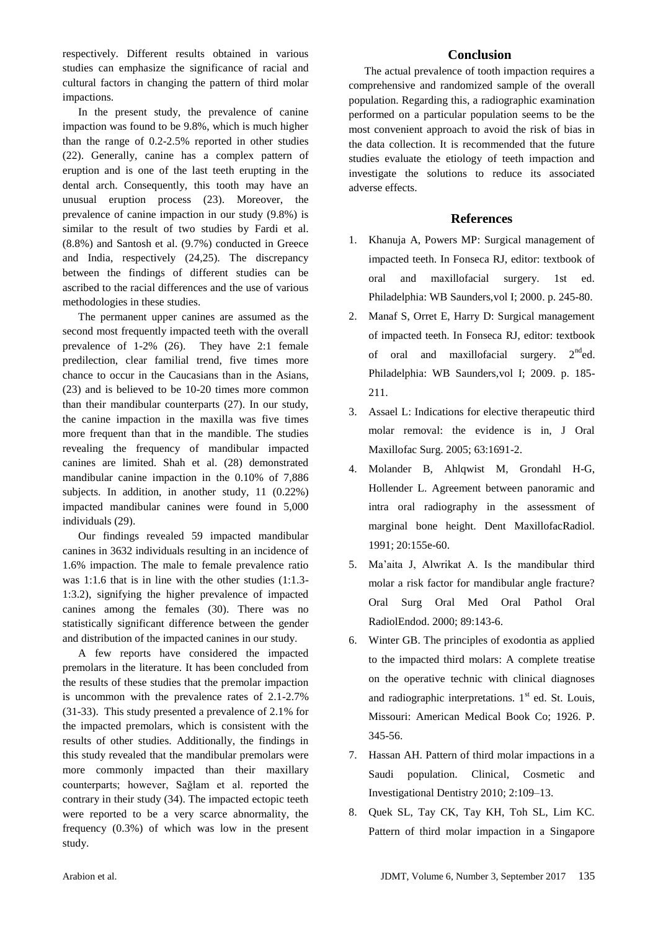respectively. Different results obtained in various studies can emphasize the significance of racial and cultural factors in changing the pattern of third molar impactions.

In the present study, the prevalence of canine impaction was found to be 9.8%, which is much higher than the range of 0.2-2.5% reported in other studies (22). Generally, canine has a complex pattern of eruption and is one of the last teeth erupting in the dental arch. Consequently, this tooth may have an unusual eruption process (23). Moreover, the prevalence of canine impaction in our study (9.8%) is similar to the result of two studies by Fardi et al. (8.8%) and Santosh et al. (9.7%) conducted in Greece and India, respectively (24,25). The discrepancy between the findings of different studies can be ascribed to the racial differences and the use of various methodologies in these studies.

The permanent upper canines are assumed as the second most frequently impacted teeth with the overall prevalence of 1-2% (26). They have 2:1 female predilection, clear familial trend, five times more chance to occur in the Caucasians than in the Asians, (23) and is believed to be 10-20 times more common than their mandibular counterparts (27). In our study, the canine impaction in the maxilla was five times more frequent than that in the mandible. The studies revealing the frequency of mandibular impacted canines are limited. Shah et al. (28) demonstrated mandibular canine impaction in the 0.10% of 7,886 subjects. In addition, in another study, 11 (0.22%) impacted mandibular canines were found in 5,000 individuals (29).

Our findings revealed 59 impacted mandibular canines in 3632 individuals resulting in an incidence of 1.6% impaction. The male to female prevalence ratio was 1:1.6 that is in line with the other studies (1:1.3- 1:3.2), signifying the higher prevalence of impacted canines among the females (30). There was no statistically significant difference between the gender and distribution of the impacted canines in our study.

A few reports have considered the impacted premolars in the literature. It has been concluded from the results of these studies that the premolar impaction is uncommon with the prevalence rates of 2.1-2.7% (31-33). This study presented a prevalence of 2.1% for the impacted premolars, which is consistent with the results of other studies. Additionally, the findings in this study revealed that the mandibular premolars were more commonly impacted than their maxillary counterparts; however, Sağlam et al. reported the contrary in their study (34). The impacted ectopic teeth were reported to be a very scarce abnormality, the frequency (0.3%) of which was low in the present study.

# **Conclusion**

The actual prevalence of tooth impaction requires a comprehensive and randomized sample of the overall population. Regarding this, a radiographic examination performed on a particular population seems to be the most convenient approach to avoid the risk of bias in the data collection. It is recommended that the future studies evaluate the etiology of teeth impaction and investigate the solutions to reduce its associated adverse effects.

# **References**

- 1. Khanuja A, Powers MP: Surgical management of impacted teeth. In Fonseca RJ, editor: textbook of oral and maxillofacial surgery. 1st ed. Philadelphia: WB Saunders,vol I; 2000. p. 245-80.
- 2. Manaf S, Orret E, Harry D: Surgical management of impacted teeth. In Fonseca RJ, editor: textbook of oral and maxillofacial surgery.  $2<sup>nd</sup>$ ed. Philadelphia: WB Saunders,vol I; 2009. p. 185- 211.
- 3. Assael L: Indications for elective therapeutic third molar removal: the evidence is in, J Oral Maxillofac Surg. 2005; 63:1691-2.
- 4. Molander B, Ahlqwist M, Grondahl H-G, Hollender L. Agreement between panoramic and intra oral radiography in the assessment of marginal bone height. Dent MaxillofacRadiol. 1991; 20:155e-60.
- 5. [Ma'aita J, Alwrikat A. Is the mandibular third](http://en.wikipedia.org/wiki/Tooth_impaction#cite_note-1)  [molar a risk factor for mandibular angle fracture?](http://en.wikipedia.org/wiki/Tooth_impaction#cite_note-1)  [Oral Surg Oral Med Oral Pathol Oral](http://en.wikipedia.org/wiki/Tooth_impaction#cite_note-1)  [RadiolEndod. 2000; 89:143-6.](http://en.wikipedia.org/wiki/Tooth_impaction#cite_note-1)
- 6. Winter GB. The principles of exodontia as applied to the impacted third molars: A complete treatise on the operative technic with clinical diagnoses and radiographic interpretations.  $1<sup>st</sup>$  ed. St. Louis, Missouri: American Medical Book Co; 1926. P. 345-56.
- 7. Hassan AH. Pattern of third molar impactions in a Saudi population. Clinical, Cosmetic and Investigational Dentistry 2010; 2:109–13.
- 8. Quek SL, Tay CK, Tay KH, Toh SL, Lim KC. Pattern of third molar impaction in a Singapore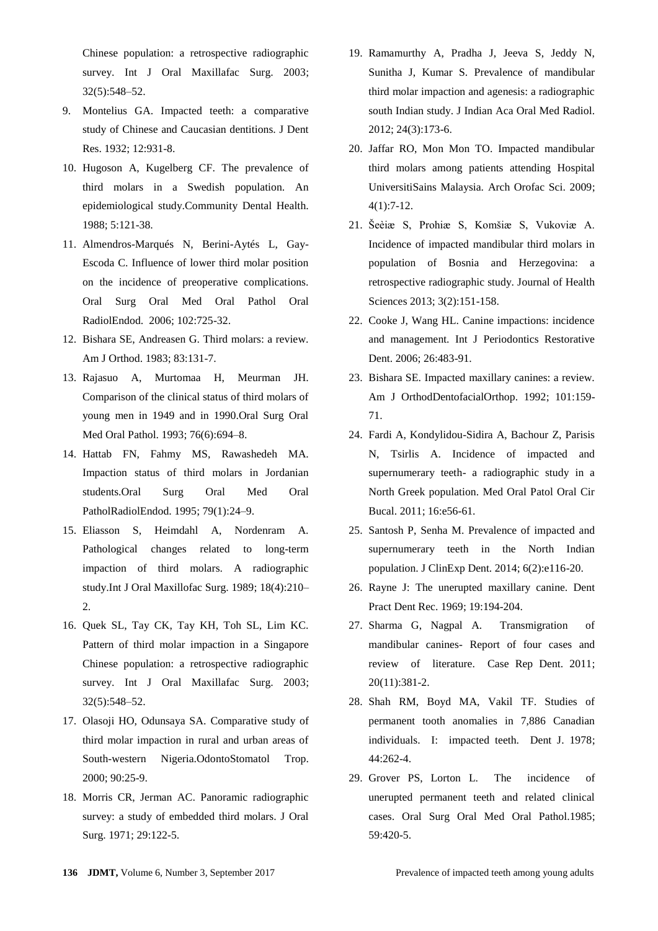Chinese population: a retrospective radiographic survey. Int J Oral Maxillafac Surg. 2003; 32(5):548–52.

- 9. Montelius GA. Impacted teeth: a comparative study of Chinese and Caucasian dentitions. J Dent Res. 1932; 12:931-8.
- 10. Hugoson A, Kugelberg CF. The prevalence of third molars in a Swedish population. An epidemiological study.Community Dental Health. 1988; 5:121-38.
- 11. Almendros-Marqués N, Berini-Aytés L, Gay-Escoda C. Influence of lower third molar position on the incidence of preoperative complications. Oral Surg Oral Med Oral Pathol Oral RadiolEndod. 2006; 102:725-32.
- 12. Bishara SE, Andreasen G. Third molars: a review. Am J Orthod. 1983; 83:131-7.
- 13. Rajasuo A, Murtomaa H, Meurman JH. Comparison of the clinical status of third molars of young men in 1949 and in 1990.Oral Surg Oral Med Oral Pathol. 1993; 76(6):694–8.
- 14. Hattab FN, Fahmy MS, Rawashedeh MA. Impaction status of third molars in Jordanian students.Oral Surg Oral Med Oral PatholRadiolEndod. 1995; 79(1):24–9.
- 15. Eliasson S, Heimdahl A, Nordenram A. Pathological changes related to long-term impaction of third molars. A radiographic study.Int J Oral Maxillofac Surg. 1989; 18(4):210– 2.
- 16. Quek SL, Tay CK, Tay KH, Toh SL, Lim KC. Pattern of third molar impaction in a Singapore Chinese population: a retrospective radiographic survey. Int J Oral Maxillafac Surg. 2003; 32(5):548–52.
- 17. Olasoji HO, Odunsaya SA. Comparative study of third molar impaction in rural and urban areas of South-western Nigeria.OdontoStomatol Trop. 2000; 90:25-9.
- 18. Morris CR, Jerman AC. Panoramic radiographic survey: a study of embedded third molars. J Oral Surg. 1971; 29:122-5.
- 19. Ramamurthy A, Pradha J, Jeeva S, Jeddy N, Sunitha J, Kumar S. Prevalence of mandibular third molar impaction and agenesis: a radiographic south Indian study. J Indian Aca Oral Med Radiol. 2012; 24(3):173-6.
- 20. Jaffar RO, Mon Mon TO. Impacted mandibular third molars among patients attending Hospital UniversitiSains Malaysia. Arch Orofac Sci. 2009; 4(1):7-12.
- 21. Šeèiæ S, Prohiæ S, Komšiæ S, Vukoviæ A. Incidence of impacted mandibular third molars in population of Bosnia and Herzegovina: a retrospective radiographic study. Journal of Health Sciences 2013; 3(2):151-158.
- 22. Cooke J, Wang HL. Canine impactions: incidence and management. Int J Periodontics Restorative Dent. 2006; 26:483-91.
- 23. Bishara SE. Impacted maxillary canines: a review. Am J OrthodDentofacialOrthop. 1992; 101:159- 71.
- 24. Fardi A, Kondylidou-Sidira A, Bachour Z, Parisis N, Tsirlis A. Incidence of impacted and supernumerary teeth- a radiographic study in a North Greek population. Med Oral Patol Oral Cir Bucal. 2011; 16:e56-61.
- 25. Santosh P, Senha M. Prevalence of impacted and supernumerary teeth in the North Indian population. J ClinExp Dent. 2014; 6(2):e116-20.
- 26. Rayne J: The unerupted maxillary canine. Dent Pract Dent Rec. 1969; 19:194-204.
- 27. Sharma G, Nagpal A. Transmigration of mandibular canines- Report of four cases and review of literature. Case Rep Dent. 2011; 20(11):381-2.
- 28. Shah RM, Boyd MA, Vakil TF. Studies of permanent tooth anomalies in 7,886 Canadian individuals. I: impacted teeth. Dent J. 1978;  $44.262 - 4$
- 29. Grover PS, Lorton L. The incidence of unerupted permanent teeth and related clinical cases. Oral Surg Oral Med Oral Pathol.1985; 59:420-5.